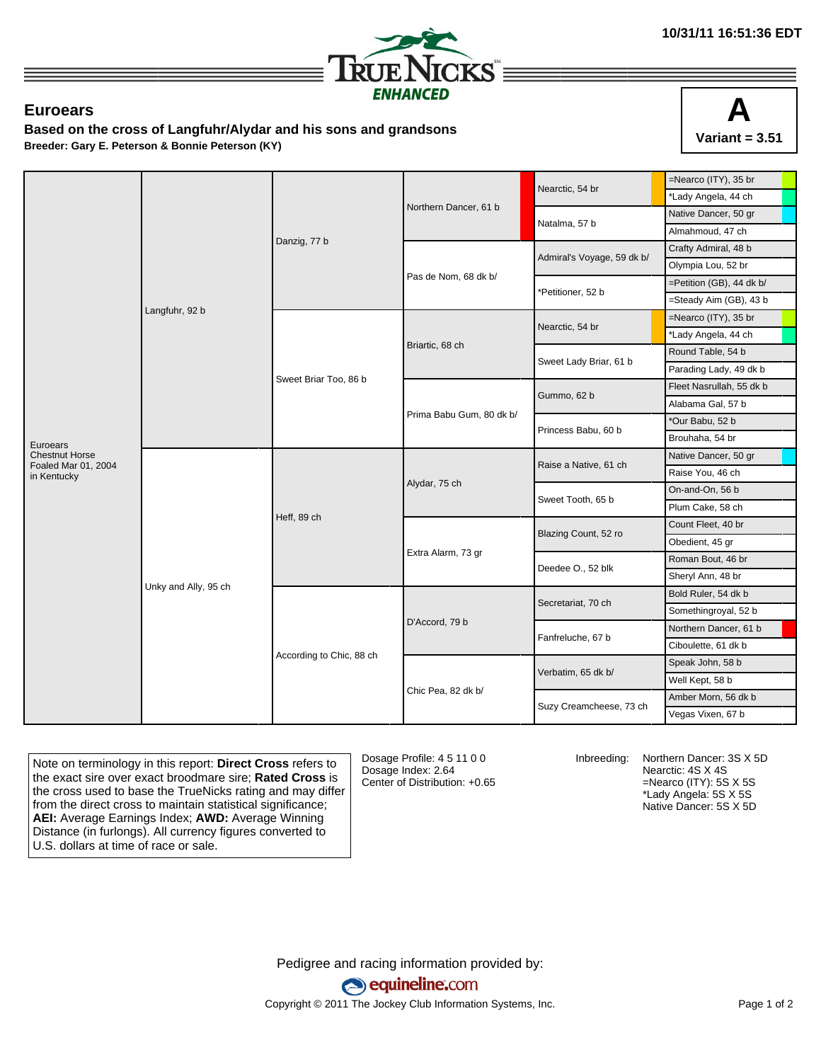

## **Euroears**

**Based on the cross of Langfuhr/Alydar and his sons and grandsons Breeder: Gary E. Peterson & Bonnie Peterson (KY)**



|                                              |                      |                          |                          | Nearctic, 54 br            | =Nearco (ITY), 35 br     |
|----------------------------------------------|----------------------|--------------------------|--------------------------|----------------------------|--------------------------|
|                                              | Langfuhr, 92 b       | Danzig, 77 b             | Northern Dancer, 61 b    |                            | *Lady Angela, 44 ch      |
|                                              |                      |                          |                          | Natalma, 57 b              | Native Dancer, 50 gr     |
|                                              |                      |                          |                          |                            | Almahmoud, 47 ch         |
|                                              |                      |                          |                          | Admiral's Voyage, 59 dk b/ | Crafty Admiral, 48 b     |
|                                              |                      |                          |                          |                            | Olympia Lou, 52 br       |
|                                              |                      |                          | Pas de Nom, 68 dk b/     | *Petitioner, 52 b          | =Petition (GB), 44 dk b/ |
|                                              |                      |                          |                          |                            | =Steady Aim (GB), 43 b   |
|                                              |                      | Sweet Briar Too, 86 b    | Briartic, 68 ch          | Nearctic, 54 br            | =Nearco (ITY), 35 br     |
|                                              |                      |                          |                          |                            | *Lady Angela, 44 ch      |
|                                              |                      |                          |                          | Sweet Lady Briar, 61 b     | Round Table, 54 b        |
|                                              |                      |                          |                          |                            | Parading Lady, 49 dk b   |
|                                              |                      |                          | Prima Babu Gum, 80 dk b/ | Gummo, 62 b                | Fleet Nasrullah, 55 dk b |
|                                              |                      |                          |                          |                            | Alabama Gal, 57 b        |
|                                              |                      |                          |                          | Princess Babu, 60 b        | *Our Babu, 52 b          |
| Euroears                                     |                      |                          |                          |                            | Brouhaha, 54 br          |
| <b>Chestnut Horse</b><br>Foaled Mar 01, 2004 | Unky and Ally, 95 ch | Heff, 89 ch              | Alydar, 75 ch            | Raise a Native, 61 ch      | Native Dancer, 50 gr     |
| in Kentucky                                  |                      |                          |                          |                            | Raise You, 46 ch         |
|                                              |                      |                          |                          | Sweet Tooth, 65 b          | On-and-On, 56 b          |
|                                              |                      |                          |                          |                            | Plum Cake, 58 ch         |
|                                              |                      |                          |                          | Blazing Count, 52 ro       | Count Fleet, 40 br       |
|                                              |                      |                          | Extra Alarm, 73 gr       |                            | Obedient, 45 gr          |
|                                              |                      |                          |                          | Deedee O., 52 blk          | Roman Bout, 46 br        |
|                                              |                      |                          |                          |                            | Sheryl Ann, 48 br        |
|                                              |                      | According to Chic, 88 ch | D'Accord, 79 b           | Secretariat, 70 ch         | Bold Ruler, 54 dk b      |
|                                              |                      |                          |                          |                            | Somethingroyal, 52 b     |
|                                              |                      |                          |                          | Fanfreluche, 67 b          | Northern Dancer, 61 b    |
|                                              |                      |                          |                          |                            | Ciboulette, 61 dk b      |
|                                              |                      |                          |                          | Verbatim, 65 dk b/         | Speak John, 58 b         |
|                                              |                      |                          |                          |                            | Well Kept, 58 b          |
|                                              |                      |                          | Chic Pea, 82 dk b/       | Suzy Creamcheese, 73 ch    | Amber Morn, 56 dk b      |
|                                              |                      |                          |                          |                            | Vegas Vixen, 67 b        |

Note on terminology in this report: **Direct Cross** refers to the exact sire over exact broodmare sire; **Rated Cross** is the cross used to base the TrueNicks rating and may differ from the direct cross to maintain statistical significance; **AEI:** Average Earnings Index; **AWD:** Average Winning Distance (in furlongs). All currency figures converted to U.S. dollars at time of race or sale.

Dosage Profile: 4 5 11 0 0 Dosage Index: 2.64 Center of Distribution: +0.65

Inbreeding: Northern Dancer: 3S X 5D Nearctic: 4S X 4S =Nearco (ITY): 5S X 5S \*Lady Angela: 5S X 5S Native Dancer: 5S X 5D

Pedigree and racing information provided by: equineline.com Copyright © 2011 The Jockey Club Information Systems, Inc. example 2012 Page 1 of 2